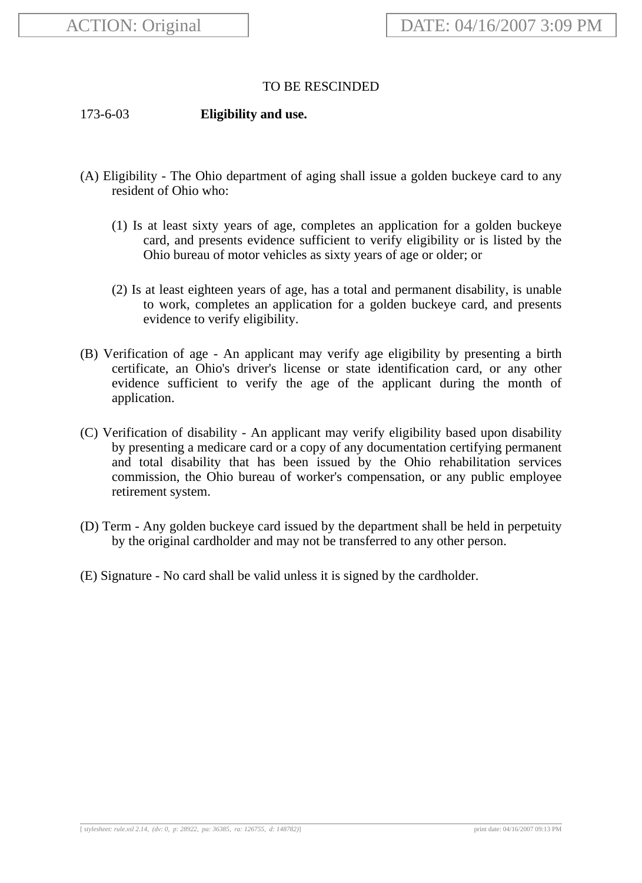## TO BE RESCINDED

173-6-03 **Eligibility and use.**

- (A) Eligibility The Ohio department of aging shall issue a golden buckeye card to any resident of Ohio who:
	- (1) Is at least sixty years of age, completes an application for a golden buckeye card, and presents evidence sufficient to verify eligibility or is listed by the Ohio bureau of motor vehicles as sixty years of age or older; or
	- (2) Is at least eighteen years of age, has a total and permanent disability, is unable to work, completes an application for a golden buckeye card, and presents evidence to verify eligibility.
- (B) Verification of age An applicant may verify age eligibility by presenting a birth certificate, an Ohio's driver's license or state identification card, or any other evidence sufficient to verify the age of the applicant during the month of application.
- (C) Verification of disability An applicant may verify eligibility based upon disability by presenting a medicare card or a copy of any documentation certifying permanent and total disability that has been issued by the Ohio rehabilitation services commission, the Ohio bureau of worker's compensation, or any public employee retirement system.
- (D) Term Any golden buckeye card issued by the department shall be held in perpetuity by the original cardholder and may not be transferred to any other person.
- (E) Signature No card shall be valid unless it is signed by the cardholder.